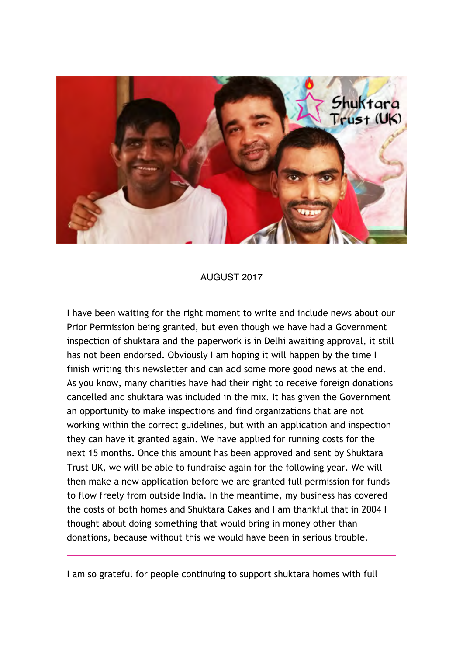

## AUGUST 2017

I have been waiting for the right moment to write and include news about our Prior Permission being granted, but even though we have had a Government inspection of shuktara and the paperwork is in Delhi awaiting approval, it still has not been endorsed. Obviously I am hoping it will happen by the time I finish writing this newsletter and can add some more good news at the end. As you know, many charities have had their right to receive foreign donations cancelled and shuktara was included in the mix. It has given the Government an opportunity to make inspections and find organizations that are not working within the correct guidelines, but with an application and inspection they can have it granted again. We have applied for running costs for the next 15 months. Once this amount has been approved and sent by Shuktara Trust UK, we will be able to fundraise again for the following year. We will then make a new application before we are granted full permission for funds to flow freely from outside India. In the meantime, my business has covered the costs of both homes and Shuktara Cakes and I am thankful that in 2004 I thought about doing something that would bring in money other than donations, because without this we would have been in serious trouble.

I am so grateful for people continuing to support shuktara homes with full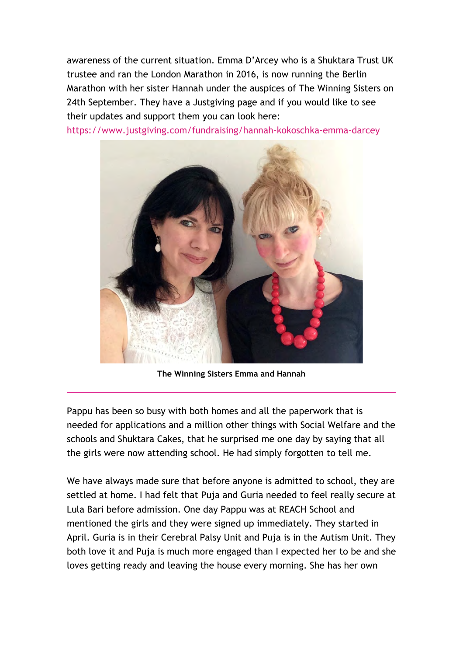awareness of the current situation. Emma D'Arcey who is a Shuktara Trust UK trustee and ran the London Marathon in 2016, is now running the Berlin Marathon with her sister Hannah under the auspices of The Winning Sisters on 24th September. They have a Justgiving page and if you would like to see their updates and support them you can look here:

https://www.justgiving.com/fundraising/hannah-kokoschka-emma-darcey



**The Winning Sisters Emma and Hannah**

Pappu has been so busy with both homes and all the paperwork that is needed for applications and a million other things with Social Welfare and the schools and Shuktara Cakes, that he surprised me one day by saying that all the girls were now attending school. He had simply forgotten to tell me.

We have always made sure that before anyone is admitted to school, they are settled at home. I had felt that Puja and Guria needed to feel really secure at Lula Bari before admission. One day Pappu was at REACH School and mentioned the girls and they were signed up immediately. They started in April. Guria is in their Cerebral Palsy Unit and Puja is in the Autism Unit. They both love it and Puja is much more engaged than I expected her to be and she loves getting ready and leaving the house every morning. She has her own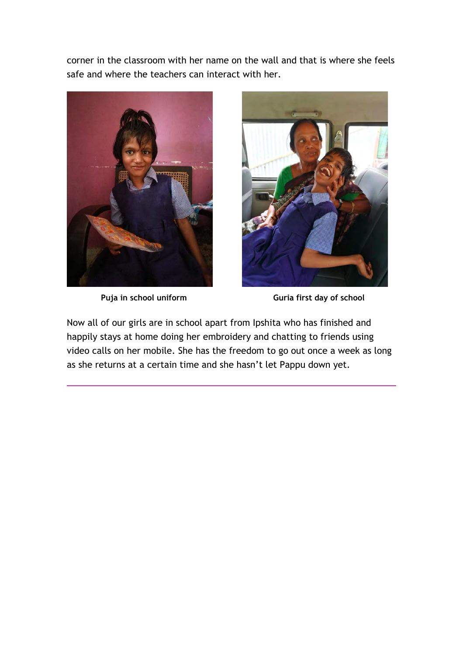corner in the classroom with her name on the wall and that is where she feels safe and where the teachers can interact with her.





**Puja in school uniform Guria first day of school**

Now all of our girls are in school apart from Ipshita who has finished and happily stays at home doing her embroidery and chatting to friends using video calls on her mobile. She has the freedom to go out once a week as long as she returns at a certain time and she hasn't let Pappu down yet.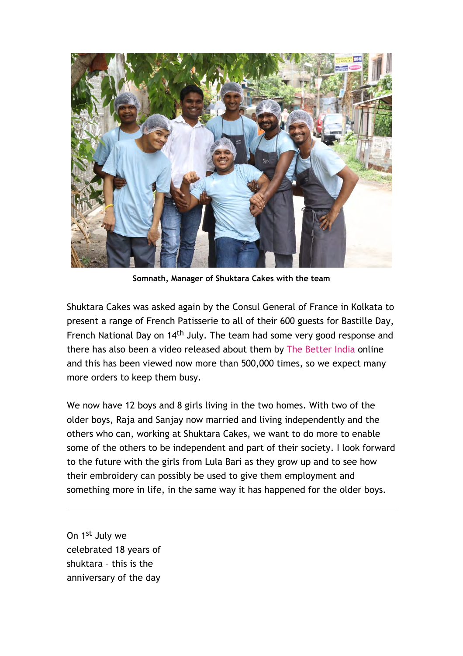

**Somnath, Manager of Shuktara Cakes with the team**

Shuktara Cakes was asked again by the Consul General of France in Kolkata to present a range of French Patisserie to all of their 600 guests for Bastille Day, French National Day on 14<sup>th</sup> July. The team had some very good response and there has also been a video released about them by The Better India online and this has been viewed now more than 500,000 times, so we expect many more orders to keep them busy.

We now have 12 boys and 8 girls living in the two homes. With two of the older boys, Raja and Sanjay now married and living independently and the others who can, working at Shuktara Cakes, we want to do more to enable some of the others to be independent and part of their society. I look forward to the future with the girls from Lula Bari as they grow up and to see how their embroidery can possibly be used to give them employment and something more in life, in the same way it has happened for the older boys.

On 1st July we celebrated 18 years of shuktara – this is the anniversary of the day